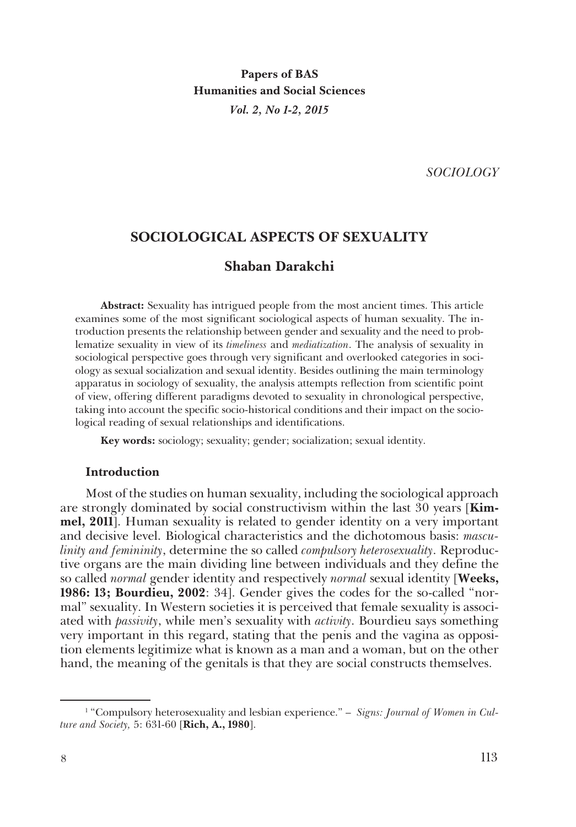**Papers of BAS Humanities and Social Sciences** *Vol. 2, No 1-2, 2015*

*SOCIOLOGY*

# **SOCIOLOGICAL ASPECTS OF SEXUALITY**

# **Shaban Darakchi**

**Abstract:** Sexuality has intrigued people from the most ancient times. This article examines some of the most significant sociological aspects of human sexuality. The introduction presents the relationship between gender and sexuality and the need to problematize sexuality in view of its *timeliness* and *mediatization*. The analysis of sexuality in sociological perspective goes through very significant and overlooked categories in sociology as sexual socialization and sexual identity. Besides outlining the main terminology apparatus in sociology of sexuality, the analysis attempts reflection from scientific point of view, offering different paradigms devoted to sexuality in chronological perspective, taking into account the specific socio-historical conditions and their impact on the sociological reading of sexual relationships and identifications.

**Key words:** sociology; sexuality; gender; socialization; sexual identity.

# **Introduction**

Most of the studies on human sexuality, including the sociological approach are strongly dominated by social constructivism within the last 30 years [**Kimmel, 2011**]. Human sexuality is related to gender identity on a very important and decisive level. Biological characteristics and the dichotomous basis: *masculinity and femininity*, determine the so called *compulsory heterosexuality*. Reproductive organs are the main dividing line between individuals and they define the so called *normal* gender identity and respectively *normal* sexual identity [**Weeks, 1986: 13; Bourdieu, 2002**: 34]. Gender gives the codes for the so-called "normal" sexuality. In Western societies it is perceived that female sexuality is associated with *passivity*, while men's sexuality with *activity*. Bourdieu says something very important in this regard, stating that the penis and the vagina as opposition elements legitimize what is known as a man and a woman, but on the other hand, the meaning of the genitals is that they are social constructs themselves.

<sup>&</sup>lt;sup>1</sup> "Compulsory heterosexuality and lesbian experience." – *Signs: Journal of Women in Culture and Society,* 5: 631-60 [**Rich, A., 1980**].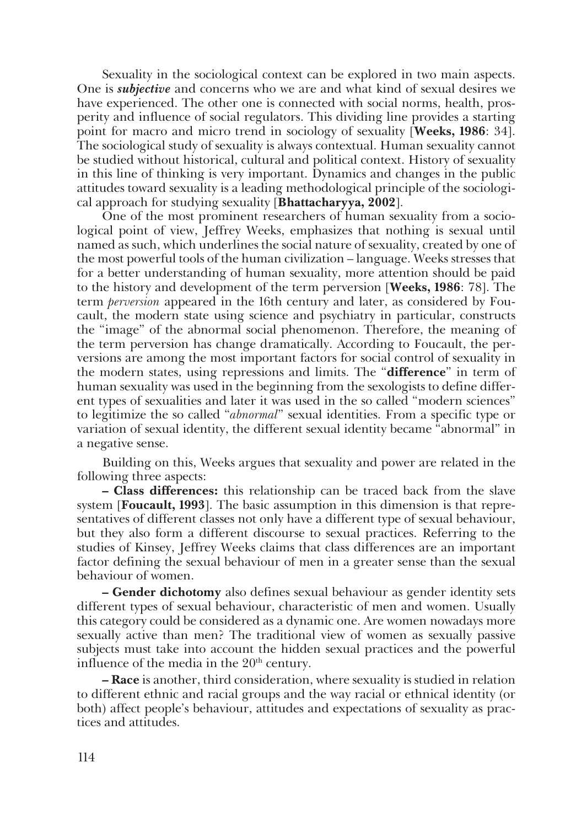Sexuality in the sociological context can be explored in two main aspects. One is *subjective* and concerns who we are and what kind of sexual desires we have experienced. The other one is connected with social norms, health, prosperity and influence of social regulators. This dividing line provides a starting point for macro and micro trend in sociology of sexuality [**Weeks, 1986**: 34]. The sociological study of sexuality is always contextual. Human sexuality cannot be studied without historical, cultural and political context. History of sexuality in this line of thinking is very important. Dynamics and changes in the public attitudes toward sexuality is a leading methodological principle of the sociological approach for studying sexuality [**Bhattacharyya, 2002**].

One of the most prominent researchers of human sexuality from a sociological point of view, Jeffrey Weeks, emphasizes that nothing is sexual until named as such, which underlines the social nature of sexuality, created by one of the most powerful tools of the human civilization – language. Weeks stresses that for a better understanding of human sexuality, more attention should be paid to the history and development of the term perversion [**Weeks, 1986**: 78]. The term *perversion* appeared in the 16th century and later, as considered by Foucault, the modern state using science and psychiatry in particular, constructs the "image" of the abnormal social phenomenon. Therefore, the meaning of the term perversion has change dramatically. According to Foucault, the perversions are among the most important factors for social control of sexuality in the modern states, using repressions and limits. The "**difference**" in term of human sexuality was used in the beginning from the sexologists to define different types of sexualities and later it was used in the so called "modern sciences" to legitimize the so called "*abnormal*" sexual identities. From a specific type or variation of sexual identity, the different sexual identity became "abnormal" in a negative sense.

Building on this, Weeks argues that sexuality and power are related in the following three aspects:

**– Class differences:** this relationship can be traced back from the slave system [**Foucault, 1993**]. The basic assumption in this dimension is that representatives of different classes not only have a different type of sexual behaviour, but they also form a different discourse to sexual practices. Referring to the studies of Kinsey, Jeffrey Weeks claims that class differences are an important factor defining the sexual behaviour of men in a greater sense than the sexual behaviour of women.

**– Gender dichotomy** also defines sexual behaviour as gender identity sets different types of sexual behaviour, characteristic of men and women. Usually this category could be considered as a dynamic one. Are women nowadays more sexually active than men? The traditional view of women as sexually passive subjects must take into account the hidden sexual practices and the powerful influence of the media in the  $20<sup>th</sup>$  century.

**– Race** is another, third consideration, where sexuality is studied in relation to different ethnic and racial groups and the way racial or ethnical identity (or both) affect people's behaviour, attitudes and expectations of sexuality as practices and attitudes.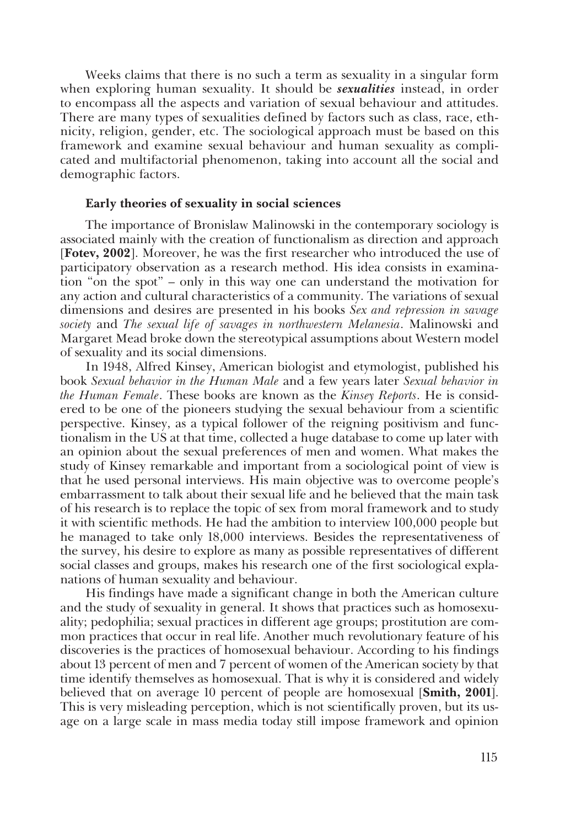Weeks claims that there is no such a term as sexuality in a singular form when exploring human sexuality. It should be *sexualities* instead, in order to encompass all the aspects and variation of sexual behaviour and attitudes. There are many types of sexualities defined by factors such as class, race, ethnicity, religion, gender, etc. The sociological approach must be based on this framework and examine sexual behaviour and human sexuality as complicated and multifactorial phenomenon, taking into account all the social and demographic factors.

### **Early theories of sexuality in social sciences**

The importance of Bronislaw Malinowski in the contemporary sociology is associated mainly with the creation of functionalism as direction and approach [**Fotev, 2002**]. Moreover, he was the first researcher who introduced the use of participatory observation as a research method. His idea consists in examination "on the spot" – only in this way one can understand the motivation for any action and cultural characteristics of a community. The variations of sexual dimensions and desires are presented in his books *Sex and repression in savage society* and *The sexual life of savages in northwestern Melanesia*. Malinowski and Margaret Mead broke down the stereotypical assumptions about Western model of sexuality and its social dimensions.

In 1948, Alfred Kinsey, American biologist and etymologist, published his book *Sexual behavior in the Human Male* and a few years later *Sexual behavior in the Human Female*. These books are known as the *Kinsey Reports*. He is considered to be one of the pioneers studying the sexual behaviour from a scientific perspective. Kinsey, as a typical follower of the reigning positivism and functionalism in the US at that time, collected a huge database to come up later with an opinion about the sexual preferences of men and women. What makes the study of Kinsey remarkable and important from a sociological point of view is that he used personal interviews. His main objective was to overcome people's embarrassment to talk about their sexual life and he believed that the main task of his research is to replace the topic of sex from moral framework and to study it with scientific methods. He had the ambition to interview 100,000 people but he managed to take only 18,000 interviews. Besides the representativeness of the survey, his desire to explore as many as possible representatives of different social classes and groups, makes his research one of the first sociological explanations of human sexuality and behaviour.

His findings have made a significant change in both the American culture and the study of sexuality in general. It shows that practices such as homosexuality; pedophilia; sexual practices in different age groups; prostitution are common practices that occur in real life. Another much revolutionary feature of his discoveries is the practices of homosexual behaviour. According to his findings about 13 percent of men and 7 percent of women of the American society by that time identify themselves as homosexual. That is why it is considered and widely believed that on average 10 percent of people are homosexual [**Smith, 2001**]. This is very misleading perception, which is not scientifically proven, but its usage on a large scale in mass media today still impose framework and opinion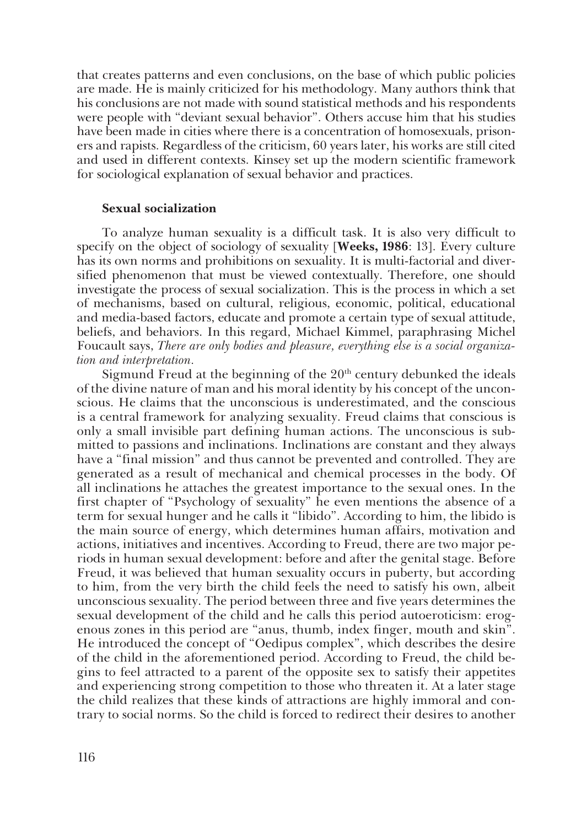that creates patterns and even conclusions, on the base of which public policies are made. He is mainly criticized for his methodology. Many authors think that his conclusions are not made with sound statistical methods and his respondents were people with "deviant sexual behavior". Others accuse him that his studies have been made in cities where there is a concentration of homosexuals, prisoners and rapists. Regardless of the criticism, 60 years later, his works are still cited and used in different contexts. Kinsey set up the modern scientific framework for sociological explanation of sexual behavior and practices.

# **Sexual socialization**

To analyze human sexuality is a difficult task. It is also very difficult to specify on the object of sociology of sexuality [**Weeks, 1986**: 13]. Every culture has its own norms and prohibitions on sexuality. It is multi-factorial and diversified phenomenon that must be viewed contextually. Therefore, one should investigate the process of sexual socialization. This is the process in which a set of mechanisms, based on cultural, religious, economic, political, educational and media-based factors, educate and promote a certain type of sexual attitude, beliefs, and behaviors. In this regard, Michael Kimmel, paraphrasing Michel Foucault says, *There are only bodies and pleasure, everything else is a social organization and interpretation.*

Sigmund Freud at the beginning of the  $20<sup>th</sup>$  century debunked the ideals of the divine nature of man and his moral identity by his concept of the unconscious. He claims that the unconscious is underestimated, and the conscious is a central framework for analyzing sexuality. Freud claims that conscious is only a small invisible part defining human actions. The unconscious is submitted to passions and inclinations. Inclinations are constant and they always have a "final mission" and thus cannot be prevented and controlled. They are generated as a result of mechanical and chemical processes in the body. Of all inclinations he attaches the greatest importance to the sexual ones. In the first chapter of "Psychology of sexuality" he even mentions the absence of a term for sexual hunger and he calls it "libido". According to him, the libido is the main source of energy, which determines human affairs, motivation and actions, initiatives and incentives. According to Freud, there are two major periods in human sexual development: before and after the genital stage. Before Freud, it was believed that human sexuality occurs in puberty, but according to him, from the very birth the child feels the need to satisfy his own, albeit unconscious sexuality. The period between three and five years determines the sexual development of the child and he calls this period autoeroticism: erogenous zones in this period are "anus, thumb, index finger, mouth and skin". He introduced the concept of "Oedipus complex", which describes the desire of the child in the aforementioned period. According to Freud, the child begins to feel attracted to a parent of the opposite sex to satisfy their appetites and experiencing strong competition to those who threaten it. At a later stage the child realizes that these kinds of attractions are highly immoral and contrary to social norms. So the child is forced to redirect their desires to another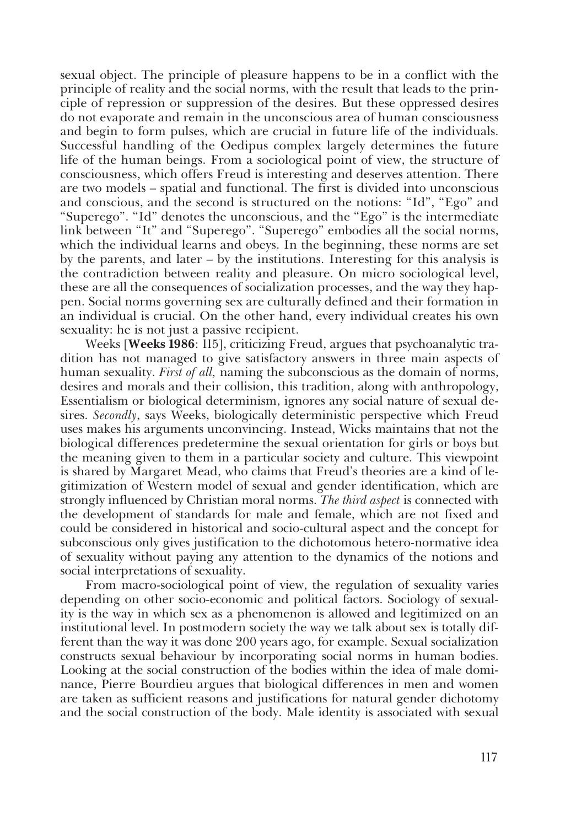sexual object. The principle of pleasure happens to be in a conflict with the principle of reality and the social norms, with the result that leads to the principle of repression or suppression of the desires. But these oppressed desires do not evaporate and remain in the unconscious area of human consciousness and begin to form pulses, which are crucial in future life of the individuals. Successful handling of the Oedipus complex largely determines the future life of the human beings. From a sociological point of view, the structure of consciousness, which offers Freud is interesting and deserves attention. There are two models – spatial and functional. The first is divided into unconscious and conscious, and the second is structured on the notions: "Id", "Ego" and "Superego". "Id" denotes the unconscious, and the "Ego" is the intermediate link between "It" and "Superego". "Superego" embodies all the social norms, which the individual learns and obeys. In the beginning, these norms are set by the parents, and later – by the institutions. Interesting for this analysis is the contradiction between reality and pleasure. On micro sociological level, these are all the consequences of socialization processes, and the way they happen. Social norms governing sex are culturally defined and their formation in an individual is crucial. On the other hand, every individual creates his own sexuality: he is not just a passive recipient.

Weeks [**Weeks 1986**: 115], criticizing Freud, argues that psychoanalytic tradition has not managed to give satisfactory answers in three main aspects of human sexuality. *First of all,* naming the subconscious as the domain of norms, desires and morals and their collision, this tradition, along with anthropology, Essentialism or biological determinism, ignores any social nature of sexual desires. *Secondly*, says Weeks, biologically deterministic perspective which Freud uses makes his arguments unconvincing. Instead, Wicks maintains that not the biological differences predetermine the sexual orientation for girls or boys but the meaning given to them in a particular society and culture. This viewpoint is shared by Margaret Mead, who claims that Freud's theories are a kind of legitimization of Western model of sexual and gender identification, which are strongly influenced by Christian moral norms. *The third aspect* is connected with the development of standards for male and female, which are not fixed and could be considered in historical and socio-cultural aspect and the concept for subconscious only gives justification to the dichotomous hetero-normative idea of sexuality without paying any attention to the dynamics of the notions and social interpretations of sexuality.

From mаcro-sociological point of view, the regulation of sexuality varies depending on other socio-economic and political factors. Sociology of sexuality is the way in which sex as a phenomenon is allowed and legitimized on an institutional level. In postmodern society the way we talk about sex is totally different than the way it was done 200 years ago, for example. Sexual socialization constructs sexual behaviour by incorporating social norms in human bodies. Looking at the social construction of the bodies within the idea of male dominance, Pierre Bourdieu argues that biological differences in men and women are taken as sufficient reasons and justifications for natural gender dichotomy and the social construction of the body. Male identity is associated with sexual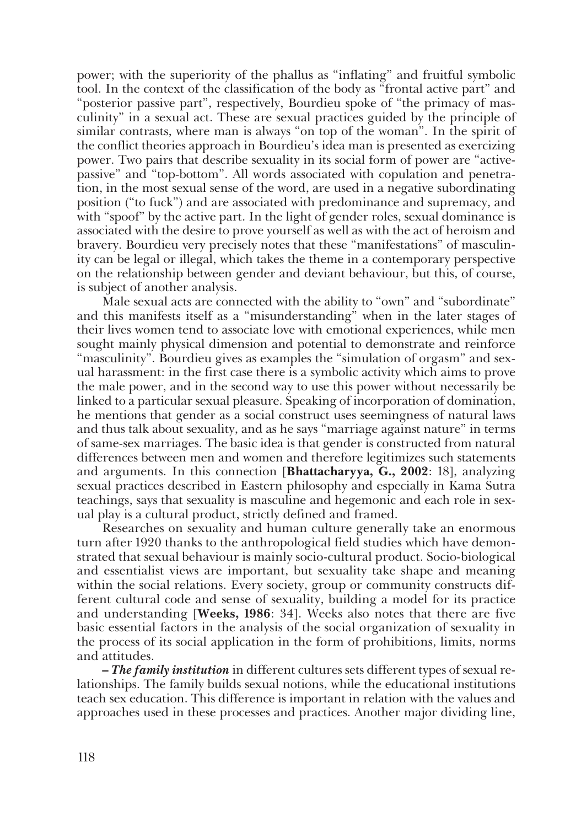power; with the superiority of the phallus as "inflating" and fruitful symbolic tool. In the context of the classification of the body as "frontal active part" and "posterior passive part", respectively, Bourdieu spoke of "the primacy of masculinity" in a sexual act. These are sexual practices guided by the principle of similar contrasts, where man is always "on top of the woman". In the spirit of the conflict theories approach in Bourdieu's idea man is presented as exercizing power. Two pairs that describe sexuality in its social form of power are "activepassive" and "top-bottom". All words associated with copulation and penetration, in the most sexual sense of the word, are used in a negative subordinating position ("to fuck") and are associated with predominance and supremacy, and with "spoof" by the active part. In the light of gender roles, sexual dominance is associated with the desire to prove yourself as well as with the act of heroism and bravery. Bourdieu very precisely notes that these "manifestations" of masculinity can be legal or illegal, which takes the theme in a contemporary perspective on the relationship between gender and deviant behaviour, but this, of course, is subject of another analysis.

Male sexual acts are connected with the ability to "own" and "subordinate" and this manifests itself as a "misunderstanding" when in the later stages of their lives women tend to associate love with emotional experiences, while men sought mainly physical dimension and potential to demonstrate and reinforce "masculinity". Bourdieu gives as examples the "simulation of orgasm" and sexual harassment: in the first case there is a symbolic activity which aims to prove the male power, and in the second way to use this power without necessarily be linked to a particular sexual pleasure. Speaking of incorporation of domination, he mentions that gender as a social construct uses seemingness of natural laws and thus talk about sexuality, and as he says "marriage against nature" in terms of same-sex marriages. The basic idea is that gender is constructed from natural differences between men and women and therefore legitimizes such statements and arguments. In this connection [**Bhattacharyya, G., 2002**: 18], analyzing sexual practices described in Eastern philosophy and especially in Kama Sutra teachings, says that sexuality is masculine and hegemonic and each role in sexual play is a cultural product, strictly defined and framed.

Researchеs on sexuality and human culture generally take an enormous turn after 1920 thanks to the anthropological field studies which have demonstrated that sexual behaviour is mainly socio-cultural product. Socio-biological and essentialist views are important, but sexuality take shape and meaning within the social relations. Every society, group or community constructs different cultural code and sense of sexuality, building a model for its practice and understanding [**Weeks, 1986**: 34]. Weeks also notes that there are five basic essential factors in the analysis of the social organization of sexuality in the process of its social application in the form of prohibitions, limits, norms and attitudes.

**–** *The family institution* in different cultures sets different types of sexual relationships. The family builds sexual notions, while the educational institutions teach sex education. This difference is important in relation with the values and approaches used in these processes and practices. Another major dividing line,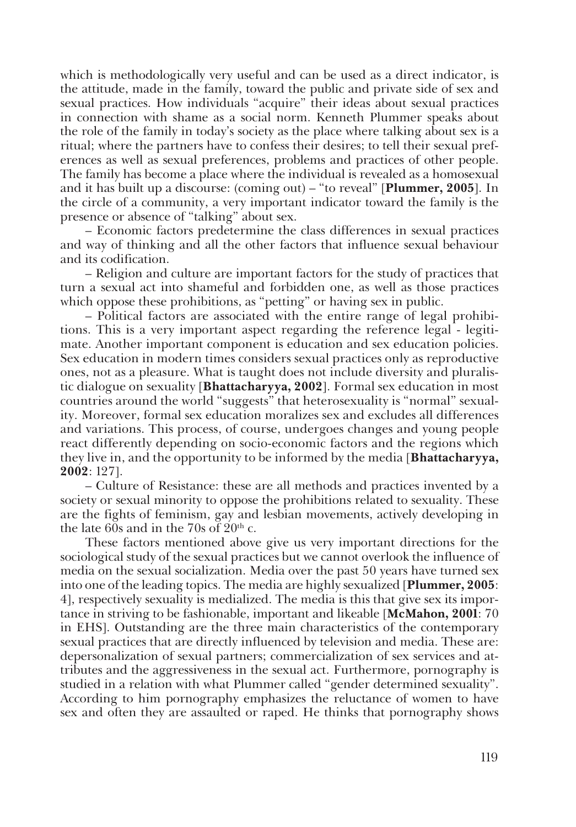which is methodologically very useful and can be used as a direct indicator, is the attitude, made in the family, toward the public and private side of sex and sexual practices. How individuals "acquire" their ideas about sexual practices in connection with shame as a social norm. Kenneth Plummer speaks about the role of the family in today's society as the place where talking about sex is a ritual; where the partners have to confess their desires; to tell their sexual preferences as well as sexual preferences, problems and practices of other people. The family has become a place where the individual is revealed as a homosexual and it has built up a discourse: (coming out) – "to reveal" [**Plummer, 2005**]. In the circle of a community, a very important indicator toward the family is the presence or absence of "talking" about sex.

– Economic factors predetermine the class differences in sexual practices and way of thinking and all the other factors that influence sexual behaviour and its codification.

– Religion and culture are important factors for the study of practices that turn a sexual act into shameful and forbidden one, as well as those practices which oppose these prohibitions, as "petting" or having sex in public.

– Political factors are associated with the entire range of legal prohibitions. This is a very important aspect regarding the reference legal - legitimate. Another important component is education and sex education policies. Sex education in modern times considers sexual practices only as reproductive ones, not as a pleasure. What is taught does not include diversity and pluralistic dialogue on sexuality [**Bhattacharyya, 2002**]. Formal sex education in most countries around the world "suggests" that heterosexuality is "normal" sexuality. Moreover, formal sex education moralizes sex and excludes all differences and variations. This process, of course, undergoes changes and young people react differently depending on socio-economic factors and the regions which they live in, and the opportunity to be informed by the media [**Bhattacharyya, 2002**: 127].

– Culture of Resistance: these are all methods and practices invented by a society or sexual minority to oppose the prohibitions related to sexuality. These are the fights of feminism, gay and lesbian movements, actively developing in the late 60s and in the 70s of  $20<sup>th</sup>$  c.

These factors mentioned above give us very important directions for the sociological study of the sexual practices but we cannot overlook the influence of media on the sexual socialization. Media over the past 50 years have turned sex into one of the leading topics. The media are highly sexualized [**Plummer, 2005**: 4], respectively sexuality is medialized. The media is this that give sex its importance in striving to be fashionable, important and likeable [**McMahon, 2001**: 70 in EHS]. Outstanding are the three main characteristics of the contemporary sexual practices that are directly influenced by television and media. These are: depersonalization of sexual partners; commercialization of sex services and attributes and the aggressiveness in the sexual act. Furthermore, pornography is studied in a relation with what Plummer called "gender determined sexuality". According to him pornography emphasizes the reluctance of women to have sex and often they are assaulted or raped. He thinks that pornography shows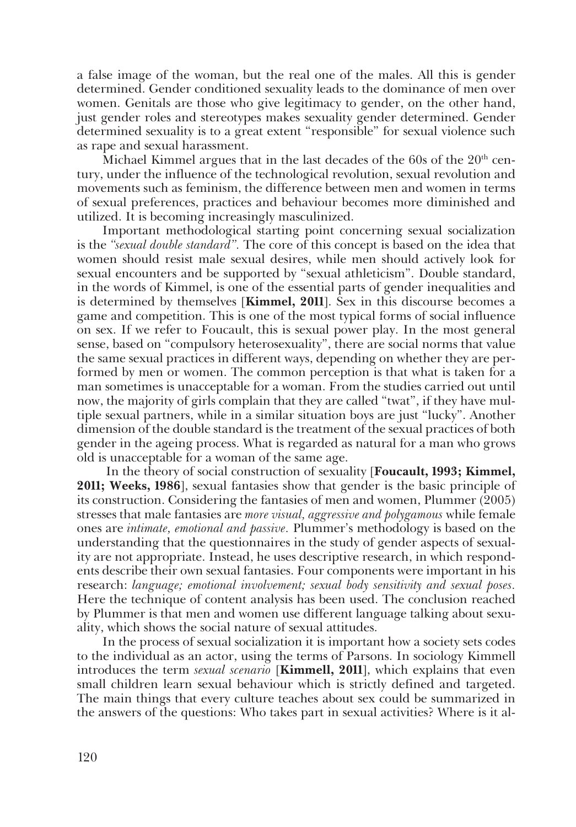a false image of the woman, but the real one of the males. All this is gender determined. Gender conditioned sexuality leads to the dominance of men over women. Genitals are those who give legitimacy to gender, on the other hand, just gender roles and stereotypes makes sexuality gender determined. Gender determined sexuality is to a great extent "responsible" for sexual violence such as rape and sexual harassment.

Michael Kimmel argues that in the last decades of the  $60s$  of the  $20<sup>th</sup>$  century, under the influence of the technological revolution, sexual revolution and movements such as feminism, the difference between men and women in terms of sexual preferences, practices and behaviour becomes more diminished and utilized. It is becoming increasingly masculinized.

Important methodological starting point concerning sexual socialization is the *"sexual double standard".* The core of this concept is based on the idea that women should resist male sexual desires, while men should actively look for sexual encounters and be supported by "sexual athleticism". Double standard, in the words of Kimmel, is one of the essential parts of gender inequalities and is determined by themselves [**Kimmel, 2011**]. Sex in this discourse becomes a game and competition. This is one of the most typical forms of social influence on sex. If we refer to Foucault, this is sexual power play. In the most general sense, based on "compulsory heterosexuality", there are social norms that value the same sexual practices in different ways, depending on whether they are performed by men or women. The common perception is that what is taken for a man sometimes is unacceptable for a woman. From the studies carried out until now, the majority of girls complain that they are called "twat", if they have multiple sexual partners, while in a similar situation boys are just "lucky". Another dimension of the double standard is the treatment of the sexual practices of both gender in the ageing process. What is regarded as natural for a man who grows old is unacceptable for a woman of the same age.

 In the theory of social construction of sexuality [**Foucault, 1993; Kimmel, 2011; Weeks, 1986**], sexual fantasies show that gender is the basic principle of its construction. Considering the fantasies of men and women, Plummer (2005) stresses that male fantasies are *more visual, aggressive and polygamous* while female ones are *intimate, emotional and passive.* Plummer's methodology is based on the understanding that the questionnaires in the study of gender aspects of sexuality are not appropriate. Instead, he uses descriptive research, in which respondents describe their own sexual fantasies. Four components were important in his research: *language; emotional involvement; sexual body sensitivity and sexual poses.* Here the technique of content analysis has been used. The conclusion reached by Plummer is that men and women use different language talking about sexuality, which shows the social nature of sexual attitudes.

In the process of sexual socialization it is important how a society sets codes to the individual as an actor, using the terms of Parsons. In sociology Kimmell introduces the term *sexual scenario* [**Kimmell, 2011**], which explains that even small children learn sexual behaviour which is strictly defined and targeted. The main things that every culture teaches about sex could be summarized in the answers of the questions: Who takes part in sexual activities? Where is it al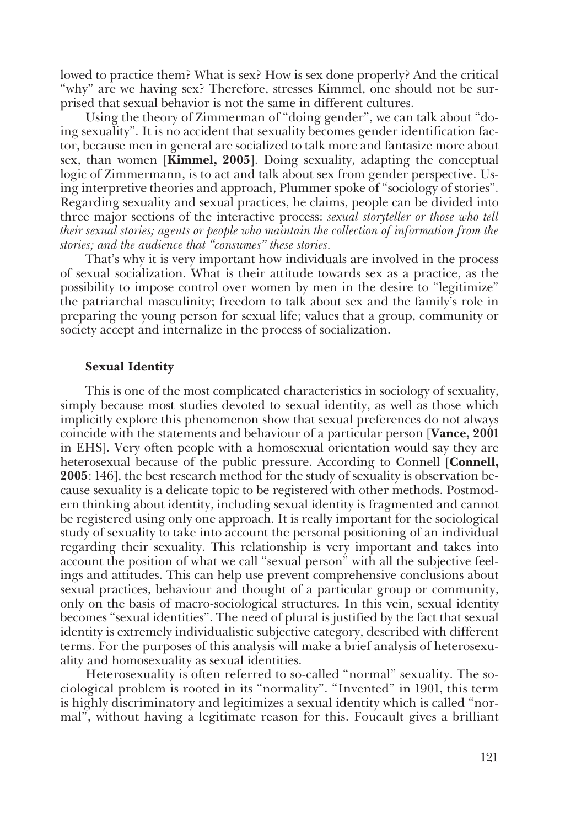lowed to practice them? What is sex? How is sex done properly? And the critical "why" are we having sex? Therefore, stresses Kimmel, one should not be surprised that sexual behavior is not the same in different cultures.

Using the theory of Zimmerman of "doing gender", we can talk about "doing sexuality". It is no accident that sexuality becomes gender identification factor, because men in general are socialized to talk more and fantasize more about sex, than women [**Kimmel, 2005**]. Doing sexuality, adapting the conceptual logic of Zimmermann, is to act and talk about sex from gender perspective. Using interpretive theories and approach, Plummer spoke of "sociology of stories". Regarding sexuality and sexual practices, he claims, people can be divided into three major sections of the interactive process: *sexual storyteller or those who tell their sexual stories; agents or people who maintain the collection of information from the stories; and the audience that "consumes" these stories.*

That's why it is very important how individuals are involved in the process of sexual socialization. What is their attitude towards sex as a practice, as the possibility to impose control over women by men in the desire to "legitimize" the patriarchal masculinity; freedom to talk about sex and the family's role in preparing the young person for sexual life; values that a group, community or society accept and internalize in the process of socialization.

#### **Sexual Identity**

This is one of the most complicated characteristics in sociology of sexuality, simply because most studies devoted to sexual identity, as well as those which implicitly explore this phenomenon show that sexual preferences do not always coincide with the statements and behaviour of a particular person [**Vance, 2001** in EHS]. Very often people with a homosexual orientation would say they are heterosexual because of the public pressure. According to Connell [**Connell, 2005**: 146], the best research method for the study of sexuality is observation because sexuality is a delicate topic to be registered with other methods. Postmodern thinking about identity, including sexual identity is fragmented and cannot be registered using only one approach. It is really important for the sociological study of sexuality to take into account the personal positioning of an individual regarding their sexuality. This relationship is very important and takes into account the position of what we call "sexual person" with all the subjective feelings and attitudes. This can help use prevent comprehensive conclusions about sexual practices, behaviour and thought of a particular group or community, only on the basis of macro-sociological structures. In this vein, sexual identity becomes "sexual identities". The need of plural is justified by the fact that sexual identity is extremely individualistic subjective category, described with different terms. For the purposes of this analysis will make a brief analysis of heterosexuality and homosexuality as sexual identities.

Heterosexuality is often referred to so-called "normal" sexuality. The sociological problem is rooted in its "normality". "Invented" in 1901, this term is highly discriminatory and legitimizes a sexual identity which is called "normal", without having a legitimate reason for this. Foucault gives a brilliant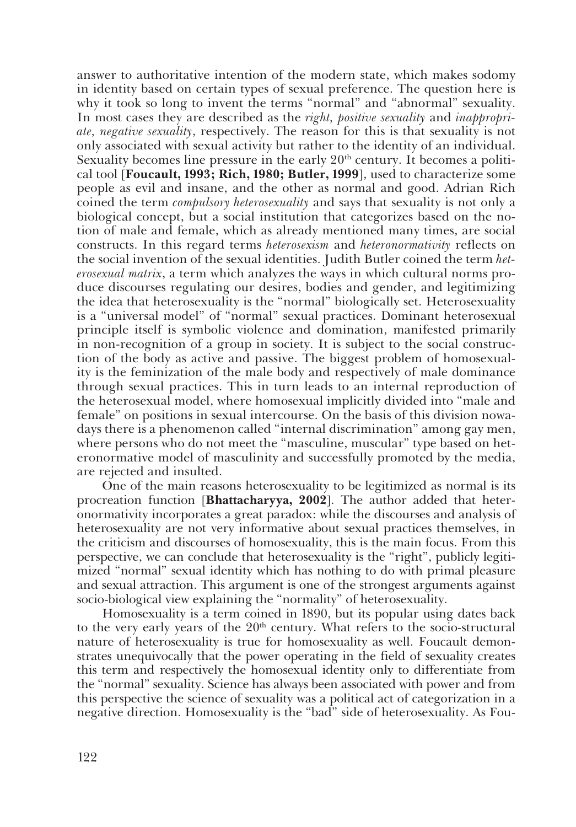answer to authoritative intention of the modern state, which makes sodomy in identity based on certain types of sexual preference. The question here is why it took so long to invent the terms "normal" and "abnormal" sexuality. In most cases they are described as the *right, positive sexuality* and *inappropriate, negative sexuality*, respectively. The reason for this is that sexuality is not only associated with sexual activity but rather to the identity of an individual. Sexuality becomes line pressure in the early 20<sup>th</sup> century. It becomes a political tool [**Foucault, 1993; Rich, 1980; Butler, 1999**], used to characterize some people as evil and insane, and the other as normal and good. Adrian Rich coined the term *compulsory heterosexuality* and says that sexuality is not only a biological concept, but a social institution that categorizes based on the notion of male and female, which as already mentioned many times, are social constructs. In this regard terms *heterosexism* and *heteronormativity* reflects on the social invention of the sexual identities. Judith Butler coined the term *heterosexual matrix*, a term which analyzes the ways in which cultural norms produce discourses regulating our desires, bodies and gender, and legitimizing the idea that heterosexuality is the "normal" biologically set. Heterosexuality is a "universal model" of "normal" sexual practices. Dominant heterosexual principle itself is symbolic violence and domination, manifested primarily in non-recognition of a group in society. It is subject to the social construction of the body as active and passive. The biggest problem of homosexuality is the feminization of the male body and respectively of male dominance through sexual practices. This in turn leads to an internal reproduction of the heterosexual model, where homosexual implicitly divided into "male and female" on positions in sexual intercourse. On the basis of this division nowadays there is a phenomenon called "internal discrimination" among gay men, where persons who do not meet the "masculine, muscular" type based on heteronormative model of masculinity and successfully promoted by the media, are rejected and insulted.

One of the main reasons heterosexuality to be legitimized as normal is its procreation function [**Bhattacharyya, 2002**]. The author added that heteronormativity incorporates a great paradox: while the discourses and analysis of heterosexuality are not very informative about sexual practices themselves, in the criticism and discourses of homosexuality, this is the main focus. From this perspective, we can conclude that heterosexuality is the "right", publicly legitimized "normal" sexual identity which has nothing to do with primal pleasure and sexual attraction. This argument is one of the strongest arguments against socio-biological view explaining the "normality" of heterosexuality.

Homosexuality is a term coined in 1890, but its popular using dates back to the very early years of the  $20<sup>th</sup>$  century. What refers to the socio-structural nature of heterosexuality is true for homosexuality as well. Foucault demonstrates unequivocally that the power operating in the field of sexuality creates this term and respectively the homosexual identity only to differentiate from the "normal" sexuality. Science has always been associated with power and from this perspective the science of sexuality was a political act of categorization in a negative direction. Homosexuality is the "bad" side of heterosexuality. As Fou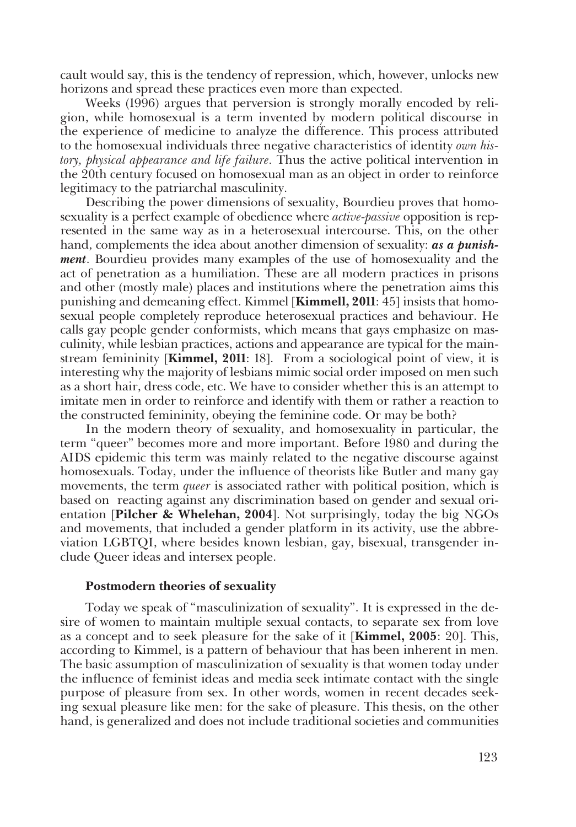cault would say, this is the tendency of repression, which, however, unlocks new horizons and spread these practices even more than expected.

Weeks (1996) argues that perversion is strongly morally encoded by religion, while homosexual is a term invented by modern political discourse in the experience of medicine to analyze the difference. This process attributed to the homosexual individuals three negative characteristics of identity *own history, physical appearance and life failure.* Thus the active political intervention in the 20th century focused on homosexual man as an object in order to reinforce legitimacy to the patriarchal masculinity.

Describing the power dimensions of sexuality, Bourdieu proves that homosexuality is a perfect example of obedience where *active-passive* opposition is represented in the same way as in a heterosexual intercourse. This, on the other hand, complements the idea about another dimension of sexuality: *as a punishment*. Bourdieu provides many examples of the use of homosexuality and the act of penetration as a humiliation. These are all modern practices in prisons and other (mostly male) places and institutions where the penetration aims this punishing and demeaning effect. Kimmel [**Kimmell, 2011**: 45] insists that homosexual people completely reproduce heterosexual practices and behaviour. He calls gay people gender conformists, which means that gays emphasize on masculinity, while lesbian practices, actions and appearance are typical for the mainstream femininity [**Kimmel, 2011**: 18]. From a sociological point of view, it is interesting why the majority of lesbians mimic social order imposed on men such as a short hair, dress code, etc. We have to consider whether this is an attempt to imitate men in order to reinforce and identify with them or rather a reaction to the constructed femininity, obeying the feminine code. Or may be both?

In the modern theory of sexuality, and homosexuality in particular, the term "queer" becomes more and more important. Before 1980 and during the AIDS epidemic this term was mainly related to the negative discourse against homosexuals. Today, under the influence of theorists like Butler and many gay movements, the term *queer* is associated rather with political position, which is based on reacting against any discrimination based on gender and sexual orientation [**Pilcher & Whelehan, 2004**]. Not surprisingly, today the big NGOs and movements, that included a gender platform in its activity, usе the abbreviation LGBTQI, where besides known lesbian, gay, bisexual, transgender include Queer ideas and intersex people.

### **Postmodern theories of sexuality**

Today we speak of "masculinization of sexuality". It is expressed in the desire of women to maintain multiple sexual contacts, to separate sex from love as a concept and to seek pleasure for the sake of it [**Kimmel, 2005**: 20]. This, according to Kimmel, is a pattern of behaviour that has been inherent in men. The basic assumption of masculinization of sexuality is that women today under the influence of feminist ideas and media seek intimate contact with the single purpose of pleasure from sex. In other words, women in recent decades seeking sexual pleasure like men: for the sake of pleasure. This thesis, on the other hand, is generalized and does not include traditional societies and communities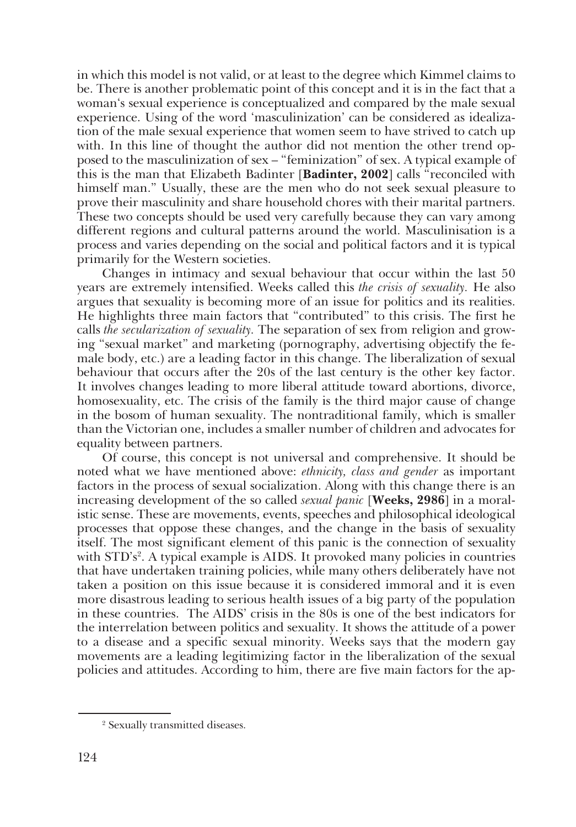in which this model is not valid, or at least to the degree which Kimmel claims to be. There is another problematic point of this concept and it is in the fact that a woman's sexual experience is conceptualized and compared by the male sexual experience. Using of the word 'masculinization' can be considered as idealization of the male sexual experience that women seem to have strived to catch up with. In this line of thought the author did not mention the other trend opposed to the masculinization of sex – "feminization" of sex. A typical example of this is the man that Elizabeth Badinter [**Badinter, 2002**] calls "reconciled with himself man." Usually, these are the men who do not seek sexual pleasure to prove their masculinity and share household chores with their marital partners. These two concepts should be used very carefully because they can vary among different regions and cultural patterns around the world. Masculinisation is a process and varies depending on the social and political factors and it is typical primarily for the Western societies.

Changes in intimacy and sexual behaviour that occur within the last 50 years are extremely intensified. Weeks called this *the crisis of sexuality.* He also argues that sexuality is becoming more of an issue for politics and its realities. He highlights three main factors that "contributed" to this crisis. The first he calls *the secularization of sexuality.* The separation of sex from religion and growing "sexual market" and marketing (pornography, advertising objectify the female body, etc.) are a leading factor in this change. The liberalization of sexual behaviour that occurs after the 20s of the last century is the other key factor. It involves changes leading to more liberal attitude toward abortions, divorce, homosexuality, etc. The crisis of the family is the third major cause of change in the bosom of human sexuality. The nontraditional family, which is smaller than the Victorian one, includes a smaller number of children and advocates for equality between partners.

Of course, this concept is not universal and comprehensive. It should be noted what we have mentioned above: *ethnicity, class and gender* as important factors in the process of sexual socialization. Along with this change there is an increasing development of the so called *sexual panic* [**Weeks, 2986**] in a moralistic sense. These are movements, events, speeches and philosophical ideological processes that oppose these changes, and the change in the basis of sexuality itself. The most significant element of this panic is the connection of sexuality with STD's<sup>2</sup>. A typical example is AIDS. It provoked many policies in countries that have undertaken training policies, while many others deliberately have not taken a position on this issue because it is considered immoral and it is even more disastrous leading to serious health issues of a big party of the population in these countries. The AIDS' crisis in the 80s is one of the best indicators for the interrelation between politics and sexuality. It shows the attitude of a power to a disease and a specific sexual minority. Weeks says that the modern gay movements are a leading legitimizing factor in the liberalization of the sexual policies and attitudes. According to him, there are five main factors for the ap-

<sup>2</sup> Sexually transmitted diseases.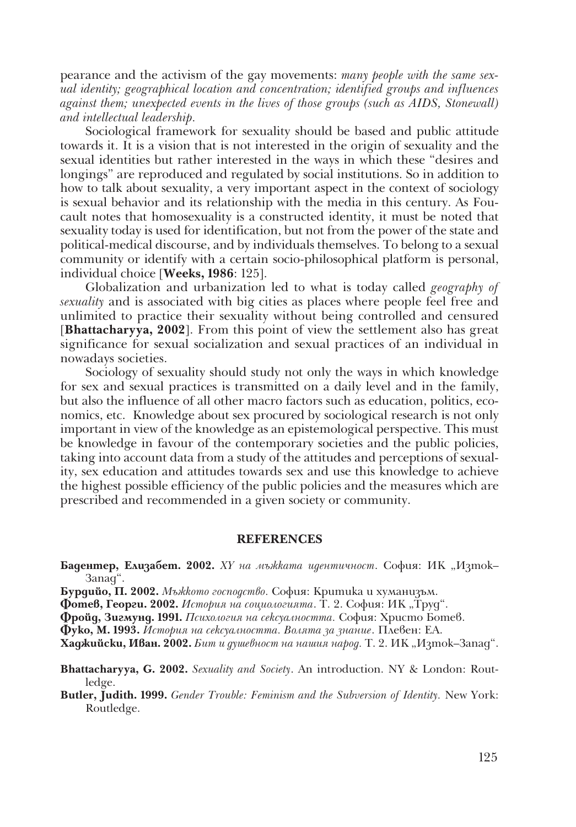pearance and the activism of the gay movements: *many people with the same sexual identity; geographical location and concentration; identified groups and influences against them; unexpected events in the lives of those groups (such as AIDS, Stonewall) and intellectual leadership.*

Sociological framework for sexuality should be based and public attitude towards it. It is a vision that is not interested in the origin of sexuality and the sexual identities but rather interested in the ways in which these "desires and longings" are reproduced and regulated by social institutions. So in addition to how to talk about sexuality, a very important aspect in the context of sociology is sexual behavior and its relationship with the media in this century. As Foucault notes that homosexuality is a constructed identity, it must be noted that sexuality today is used for identification, but not from the power of the state and political-medical discourse, and by individuals themselves. To belong to a sexual community or identify with a certain socio-philosophical platform is personal, individual choice [**Weeks, 1986**: 125].

Globalization and urbanization led to what is today called *geography of sexuality* and is associated with big cities as places where people feel free and unlimited to practice their sexuality without being controlled and censured [**Bhattacharyya, 2002**]. From this point of view the settlement also has great significance for sexual socialization and sexual practices of an individual in nowadays societies.

Sociology of sexuality should study not only the ways in which knowledge for sex and sexual practices is transmitted on a daily level and in the family, but also the influence of all other macro factors such as education, politics, economics, etc. Knowledge about sex procured by sociological research is not only important in view of the knowledge as an epistemological perspective. This must be knowledge in favour of the contemporary societies and the public policies, taking into account data from a study of the attitudes and perceptions of sexuality, sex education and attitudes towards sex and use this knowledge to achieve the highest possible efficiency of the public policies and the measures which are prescribed and recommended in a given society or community.

### **REFERENCES**

- **Бадентер, Елизабет. 2002.** *XY на мъжката идентичност*. София: ИК "Изток-Запад".
- **Бурдийо, П. 2002.** *Мъжкото господство.* София: Критика и хуманизъм.

**Фотев, Георги. 2002.** История на социологията. Т. 2. София: ИК "Труд".

**Фройд, Зигмунд. 1991.** *Психология на сексуалността.* София: Христо Ботев.

**Фуко, М. 1993.** *История на сексуалността. Волята за знание*. Плевен: ЕА.

**Хаджийски, Иван. 2002.** *Бит и душевност на нашия народ.* Т. 2. ИК "Изток–Запад".

**Bhattacharyya, G. 2002.** *Sexuality and Society*. An introduction. NY & London: Routledge.

**Butler, Judith. 1999.** *Gender Trouble: Feminism and the Subversion of Identity.* New York: Routledge.